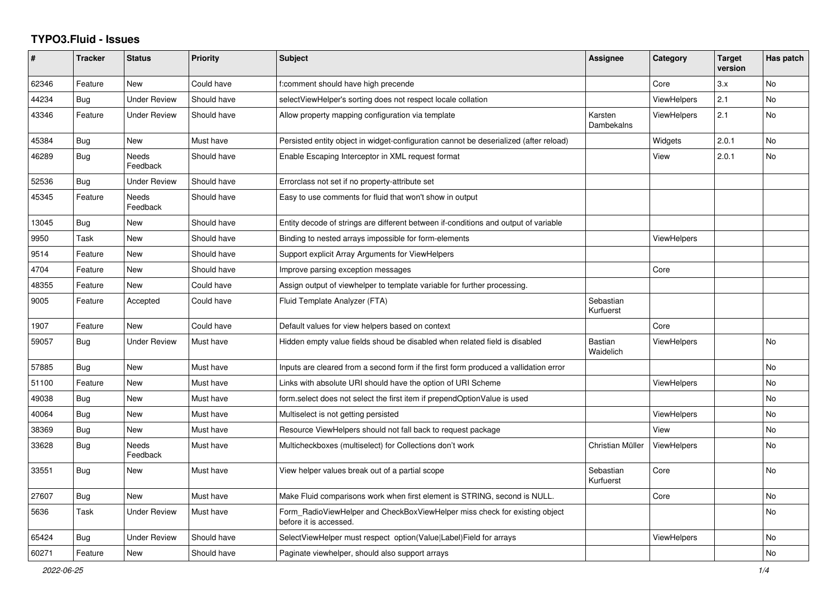## **TYPO3.Fluid - Issues**

| #     | <b>Tracker</b> | <b>Status</b>       | <b>Priority</b> | <b>Subject</b>                                                                                       | Assignee                    | Category           | <b>Target</b><br>version | Has patch |
|-------|----------------|---------------------|-----------------|------------------------------------------------------------------------------------------------------|-----------------------------|--------------------|--------------------------|-----------|
| 62346 | Feature        | New                 | Could have      | f:comment should have high precende                                                                  |                             | Core               | 3.x                      | <b>No</b> |
| 44234 | <b>Bug</b>     | <b>Under Review</b> | Should have     | selectViewHelper's sorting does not respect locale collation                                         |                             | <b>ViewHelpers</b> | 2.1                      | <b>No</b> |
| 43346 | Feature        | <b>Under Review</b> | Should have     | Allow property mapping configuration via template                                                    | Karsten<br>Dambekalns       | ViewHelpers        | 2.1                      | <b>No</b> |
| 45384 | <b>Bug</b>     | New                 | Must have       | Persisted entity object in widget-configuration cannot be deserialized (after reload)                |                             | Widgets            | 2.0.1                    | <b>No</b> |
| 46289 | Bug            | Needs<br>Feedback   | Should have     | Enable Escaping Interceptor in XML request format                                                    |                             | View               | 2.0.1                    | <b>No</b> |
| 52536 | Bug            | <b>Under Review</b> | Should have     | Errorclass not set if no property-attribute set                                                      |                             |                    |                          |           |
| 45345 | Feature        | Needs<br>Feedback   | Should have     | Easy to use comments for fluid that won't show in output                                             |                             |                    |                          |           |
| 13045 | <b>Bug</b>     | New                 | Should have     | Entity decode of strings are different between if-conditions and output of variable                  |                             |                    |                          |           |
| 9950  | Task           | New                 | Should have     | Binding to nested arrays impossible for form-elements                                                |                             | ViewHelpers        |                          |           |
| 9514  | Feature        | <b>New</b>          | Should have     | Support explicit Array Arguments for ViewHelpers                                                     |                             |                    |                          |           |
| 4704  | Feature        | New                 | Should have     | Improve parsing exception messages                                                                   |                             | Core               |                          |           |
| 48355 | Feature        | <b>New</b>          | Could have      | Assign output of viewhelper to template variable for further processing.                             |                             |                    |                          |           |
| 9005  | Feature        | Accepted            | Could have      | Fluid Template Analyzer (FTA)                                                                        | Sebastian<br>Kurfuerst      |                    |                          |           |
| 1907  | Feature        | <b>New</b>          | Could have      | Default values for view helpers based on context                                                     |                             | Core               |                          |           |
| 59057 | Bug            | Under Review        | Must have       | Hidden empty value fields shoud be disabled when related field is disabled                           | <b>Bastian</b><br>Waidelich | <b>ViewHelpers</b> |                          | <b>No</b> |
| 57885 | Bug            | New                 | Must have       | Inputs are cleared from a second form if the first form produced a vallidation error                 |                             |                    |                          | No        |
| 51100 | Feature        | <b>New</b>          | Must have       | Links with absolute URI should have the option of URI Scheme                                         |                             | <b>ViewHelpers</b> |                          | No        |
| 49038 | Bug            | New                 | Must have       | form.select does not select the first item if prependOptionValue is used                             |                             |                    |                          | <b>No</b> |
| 40064 | Bug            | New                 | Must have       | Multiselect is not getting persisted                                                                 |                             | <b>ViewHelpers</b> |                          | <b>No</b> |
| 38369 | Bug            | New                 | Must have       | Resource ViewHelpers should not fall back to request package                                         |                             | View               |                          | No        |
| 33628 | Bug            | Needs<br>Feedback   | Must have       | Multicheckboxes (multiselect) for Collections don't work                                             | Christian Müller            | <b>ViewHelpers</b> |                          | <b>No</b> |
| 33551 | Bug            | New                 | Must have       | View helper values break out of a partial scope                                                      | Sebastian<br>Kurfuerst      | Core               |                          | <b>No</b> |
| 27607 | <b>Bug</b>     | New                 | Must have       | Make Fluid comparisons work when first element is STRING, second is NULL.                            |                             | Core               |                          | No        |
| 5636  | Task           | <b>Under Review</b> | Must have       | Form RadioViewHelper and CheckBoxViewHelper miss check for existing object<br>before it is accessed. |                             |                    |                          | No        |
| 65424 | Bug            | <b>Under Review</b> | Should have     | SelectViewHelper must respect option(Value Label)Field for arrays                                    |                             | <b>ViewHelpers</b> |                          | No.       |
| 60271 | Feature        | <b>New</b>          | Should have     | Paginate viewhelper, should also support arrays                                                      |                             |                    |                          | <b>No</b> |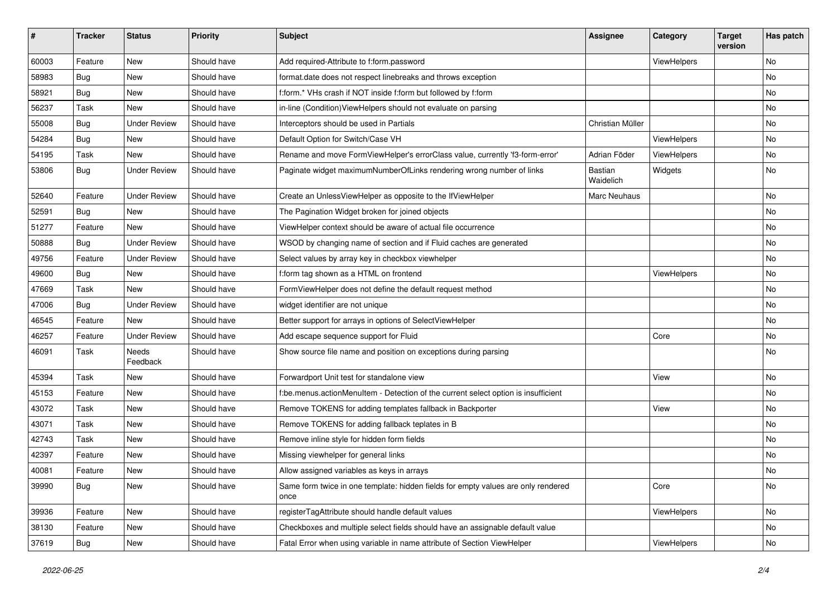| #     | <b>Tracker</b> | <b>Status</b>       | <b>Priority</b> | <b>Subject</b>                                                                            | <b>Assignee</b>      | Category           | <b>Target</b><br>version | Has patch |
|-------|----------------|---------------------|-----------------|-------------------------------------------------------------------------------------------|----------------------|--------------------|--------------------------|-----------|
| 60003 | Feature        | New                 | Should have     | Add required-Attribute to f:form.password                                                 |                      | ViewHelpers        |                          | <b>No</b> |
| 58983 | Bug            | New                 | Should have     | format.date does not respect linebreaks and throws exception                              |                      |                    |                          | No        |
| 58921 | Bug            | New                 | Should have     | f:form.* VHs crash if NOT inside f:form but followed by f:form                            |                      |                    |                          | No        |
| 56237 | Task           | New                 | Should have     | in-line (Condition) ViewHelpers should not evaluate on parsing                            |                      |                    |                          | No        |
| 55008 | Bug            | <b>Under Review</b> | Should have     | Interceptors should be used in Partials                                                   | Christian Müller     |                    |                          | No        |
| 54284 | Bug            | New                 | Should have     | Default Option for Switch/Case VH                                                         |                      | ViewHelpers        |                          | No        |
| 54195 | Task           | New                 | Should have     | Rename and move FormViewHelper's errorClass value, currently 'f3-form-error'              | Adrian Föder         | <b>ViewHelpers</b> |                          | No        |
| 53806 | Bug            | <b>Under Review</b> | Should have     | Paginate widget maximumNumberOfLinks rendering wrong number of links                      | Bastian<br>Waidelich | Widgets            |                          | No        |
| 52640 | Feature        | <b>Under Review</b> | Should have     | Create an UnlessViewHelper as opposite to the IfViewHelper                                | Marc Neuhaus         |                    |                          | No        |
| 52591 | Bug            | New                 | Should have     | The Pagination Widget broken for joined objects                                           |                      |                    |                          | <b>No</b> |
| 51277 | Feature        | New                 | Should have     | ViewHelper context should be aware of actual file occurrence                              |                      |                    |                          | No        |
| 50888 | Bug            | <b>Under Review</b> | Should have     | WSOD by changing name of section and if Fluid caches are generated                        |                      |                    |                          | No        |
| 49756 | Feature        | <b>Under Review</b> | Should have     | Select values by array key in checkbox viewhelper                                         |                      |                    |                          | No        |
| 49600 | Bug            | New                 | Should have     | f:form tag shown as a HTML on frontend                                                    |                      | ViewHelpers        |                          | No        |
| 47669 | Task           | New                 | Should have     | FormViewHelper does not define the default request method                                 |                      |                    |                          | No        |
| 47006 | Bug            | <b>Under Review</b> | Should have     | widget identifier are not unique                                                          |                      |                    |                          | No        |
| 46545 | Feature        | New                 | Should have     | Better support for arrays in options of SelectViewHelper                                  |                      |                    |                          | No        |
| 46257 | Feature        | <b>Under Review</b> | Should have     | Add escape sequence support for Fluid                                                     |                      | Core               |                          | <b>No</b> |
| 46091 | Task           | Needs<br>Feedback   | Should have     | Show source file name and position on exceptions during parsing                           |                      |                    |                          | No        |
| 45394 | Task           | New                 | Should have     | Forwardport Unit test for standalone view                                                 |                      | View               |                          | No        |
| 45153 | Feature        | New                 | Should have     | f:be.menus.actionMenuItem - Detection of the current select option is insufficient        |                      |                    |                          | No        |
| 43072 | Task           | New                 | Should have     | Remove TOKENS for adding templates fallback in Backporter                                 |                      | View               |                          | No        |
| 43071 | Task           | New                 | Should have     | Remove TOKENS for adding fallback teplates in B                                           |                      |                    |                          | No        |
| 42743 | Task           | New                 | Should have     | Remove inline style for hidden form fields                                                |                      |                    |                          | <b>No</b> |
| 42397 | Feature        | New                 | Should have     | Missing viewhelper for general links                                                      |                      |                    |                          | No        |
| 40081 | Feature        | New                 | Should have     | Allow assigned variables as keys in arrays                                                |                      |                    |                          | No        |
| 39990 | <b>Bug</b>     | New                 | Should have     | Same form twice in one template: hidden fields for empty values are only rendered<br>once |                      | Core               |                          | No        |
| 39936 | Feature        | New                 | Should have     | registerTagAttribute should handle default values                                         |                      | ViewHelpers        |                          | No        |
| 38130 | Feature        | New                 | Should have     | Checkboxes and multiple select fields should have an assignable default value             |                      |                    |                          | No        |
| 37619 | <b>Bug</b>     | New                 | Should have     | Fatal Error when using variable in name attribute of Section ViewHelper                   |                      | ViewHelpers        |                          | No        |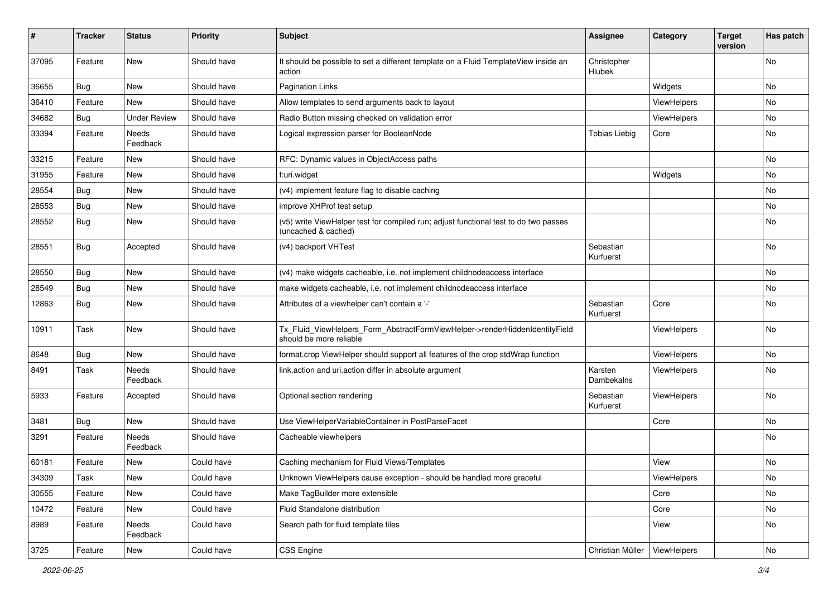| #     | <b>Tracker</b> | <b>Status</b>            | <b>Priority</b> | <b>Subject</b>                                                                                              | <b>Assignee</b>        | Category    | <b>Target</b><br>version | Has patch |
|-------|----------------|--------------------------|-----------------|-------------------------------------------------------------------------------------------------------------|------------------------|-------------|--------------------------|-----------|
| 37095 | Feature        | New                      | Should have     | It should be possible to set a different template on a Fluid TemplateView inside an<br>action               | Christopher<br>Hlubek  |             |                          | No        |
| 36655 | Bug            | New                      | Should have     | <b>Pagination Links</b>                                                                                     |                        | Widgets     |                          | No        |
| 36410 | Feature        | <b>New</b>               | Should have     | Allow templates to send arguments back to layout                                                            |                        | ViewHelpers |                          | No        |
| 34682 | Bug            | <b>Under Review</b>      | Should have     | Radio Button missing checked on validation error                                                            |                        | ViewHelpers |                          | No        |
| 33394 | Feature        | <b>Needs</b><br>Feedback | Should have     | Logical expression parser for BooleanNode                                                                   | <b>Tobias Liebig</b>   | Core        |                          | No        |
| 33215 | Feature        | New                      | Should have     | RFC: Dynamic values in ObjectAccess paths                                                                   |                        |             |                          | No        |
| 31955 | Feature        | New                      | Should have     | f:uri.widget                                                                                                |                        | Widgets     |                          | No        |
| 28554 | Bug            | New                      | Should have     | (v4) implement feature flag to disable caching                                                              |                        |             |                          | No        |
| 28553 | Bug            | New                      | Should have     | improve XHProf test setup                                                                                   |                        |             |                          | No        |
| 28552 | Bug            | New                      | Should have     | (v5) write ViewHelper test for compiled run; adjust functional test to do two passes<br>(uncached & cached) |                        |             |                          | No        |
| 28551 | Bug            | Accepted                 | Should have     | (v4) backport VHTest                                                                                        | Sebastian<br>Kurfuerst |             |                          | No        |
| 28550 | Bug            | New                      | Should have     | (v4) make widgets cacheable, i.e. not implement childnodeaccess interface                                   |                        |             |                          | No        |
| 28549 | Bug            | New                      | Should have     | make widgets cacheable, i.e. not implement childnodeaccess interface                                        |                        |             |                          | No        |
| 12863 | Bug            | New                      | Should have     | Attributes of a viewhelper can't contain a '-'                                                              | Sebastian<br>Kurfuerst | Core        |                          | No        |
| 10911 | Task           | New                      | Should have     | Tx_Fluid_ViewHelpers_Form_AbstractFormViewHelper->renderHiddenIdentityField<br>should be more reliable      |                        | ViewHelpers |                          | No        |
| 8648  | Bug            | New                      | Should have     | format.crop ViewHelper should support all features of the crop stdWrap function                             |                        | ViewHelpers |                          | No        |
| 8491  | Task           | Needs<br>Feedback        | Should have     | link.action and uri.action differ in absolute argument                                                      | Karsten<br>Dambekalns  | ViewHelpers |                          | No        |
| 5933  | Feature        | Accepted                 | Should have     | Optional section rendering                                                                                  | Sebastian<br>Kurfuerst | ViewHelpers |                          | No        |
| 3481  | Bug            | <b>New</b>               | Should have     | Use ViewHelperVariableContainer in PostParseFacet                                                           |                        | Core        |                          | No        |
| 3291  | Feature        | Needs<br>Feedback        | Should have     | Cacheable viewhelpers                                                                                       |                        |             |                          | No        |
| 60181 | Feature        | New                      | Could have      | Caching mechanism for Fluid Views/Templates                                                                 |                        | View        |                          | No        |
| 34309 | Task           | New                      | Could have      | Unknown ViewHelpers cause exception - should be handled more graceful                                       |                        | ViewHelpers |                          | No        |
| 30555 | Feature        | New                      | Could have      | Make TagBuilder more extensible                                                                             |                        | Core        |                          | No        |
| 10472 | Feature        | New                      | Could have      | Fluid Standalone distribution                                                                               |                        | Core        |                          | No        |
| 8989  | Feature        | Needs<br>Feedback        | Could have      | Search path for fluid template files                                                                        |                        | View        |                          | No        |
| 3725  | Feature        | New                      | Could have      | CSS Engine                                                                                                  | Christian Müller       | ViewHelpers |                          | No        |